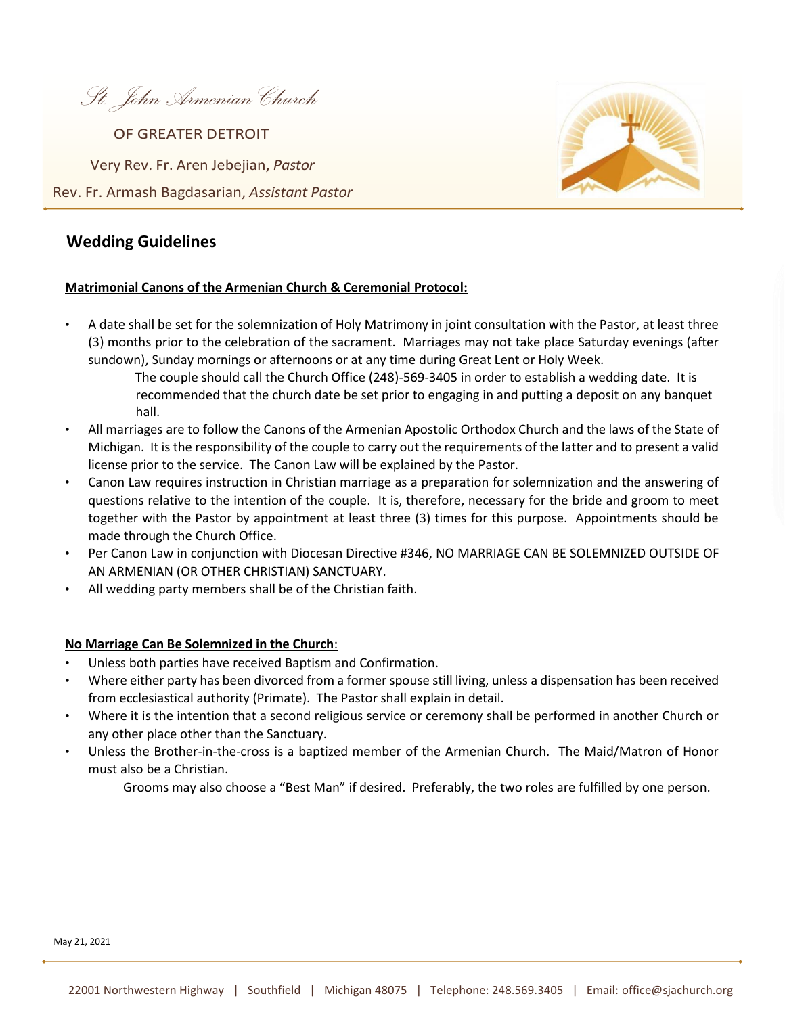*St. John Armenian Church* 

Very Rev. Fr. Aren Jebejian, *Pastor* OF GREATER DETROIT

Rev. Fr. Armash Bagdasarian, *Assistant Pastor*

# **Wedding Guidelines**

#### **Matrimonial Canons of the Armenian Church & Ceremonial Protocol:**

- A date shall be set for the solemnization of Holy Matrimony in joint consultation with the Pastor, at least three (3) months prior to the celebration of the sacrament. Marriages may not take place Saturday evenings (after sundown), Sunday mornings or afternoons or at any time during Great Lent or Holy Week.
	- The couple should call the Church Office (248)-569-3405 in order to establish a wedding date. It is recommended that the church date be set prior to engaging in and putting a deposit on any banquet hall.
- All marriages are to follow the Canons of the Armenian Apostolic Orthodox Church and the laws of the State of Michigan. It is the responsibility of the couple to carry out the requirements of the latter and to present a valid license prior to the service. The Canon Law will be explained by the Pastor.
- Canon Law requires instruction in Christian marriage as a preparation for solemnization and the answering of questions relative to the intention of the couple. It is, therefore, necessary for the bride and groom to meet together with the Pastor by appointment at least three (3) times for this purpose. Appointments should be made through the Church Office.
- Per Canon Law in conjunction with Diocesan Directive #346, NO MARRIAGE CAN BE SOLEMNIZED OUTSIDE OF AN ARMENIAN (OR OTHER CHRISTIAN) SANCTUARY.
- All wedding party members shall be of the Christian faith.

## **No Marriage Can Be Solemnized in the Church**:

- Unless both parties have received Baptism and Confirmation.
- Where either party has been divorced from a former spouse still living, unless a dispensation has been received from ecclesiastical authority (Primate). The Pastor shall explain in detail.
- Where it is the intention that a second religious service or ceremony shall be performed in another Church or any other place other than the Sanctuary.
- Unless the Brother-in-the-cross is a baptized member of the Armenian Church. The Maid/Matron of Honor must also be a Christian.
	- Grooms may also choose a "Best Man" if desired. Preferably, the two roles are fulfilled by one person.

May 21, 2021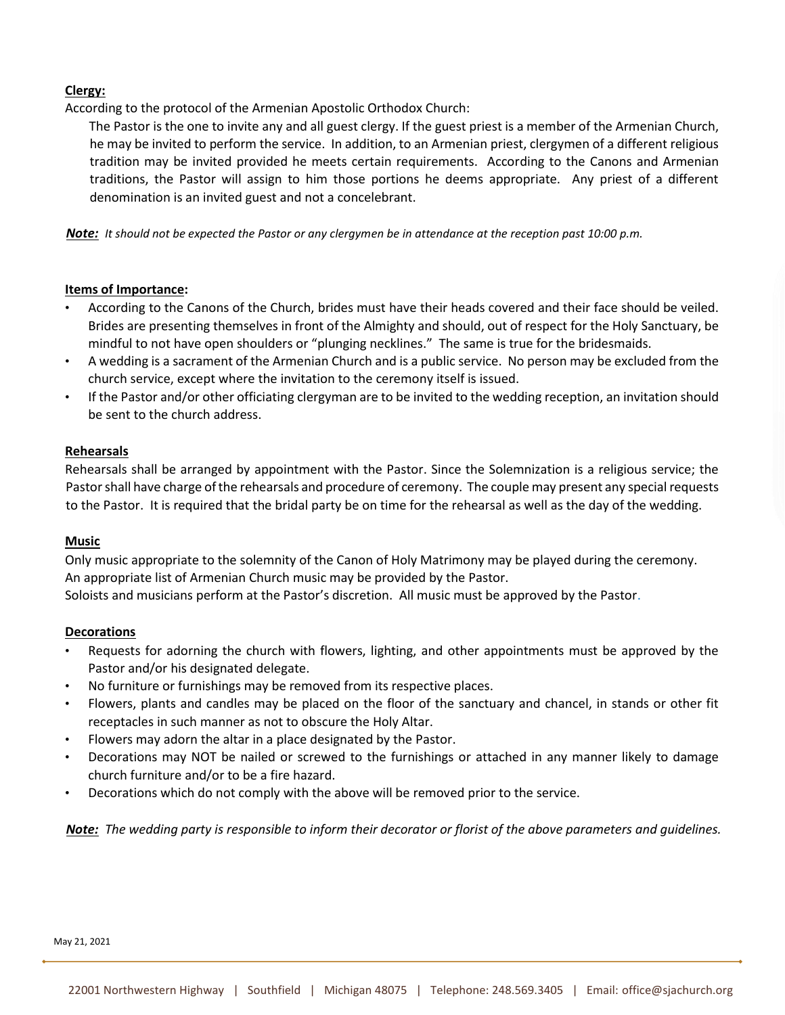### **Clergy:**

According to the protocol of the Armenian Apostolic Orthodox Church:

The Pastor is the one to invite any and all guest clergy. If the guest priest is a member of the Armenian Church, he may be invited to perform the service. In addition, to an Armenian priest, clergymen of a different religious tradition may be invited provided he meets certain requirements. According to the Canons and Armenian traditions, the Pastor will assign to him those portions he deems appropriate. Any priest of a different denomination is an invited guest and not a concelebrant.

*Note: It should not be expected the Pastor or any clergymen be in attendance at the reception past 10:00 p.m.* 

#### **Items of Importance:**

- According to the Canons of the Church, brides must have their heads covered and their face should be veiled. Brides are presenting themselves in front of the Almighty and should, out of respect for the Holy Sanctuary, be mindful to not have open shoulders or "plunging necklines." The same is true for the bridesmaids.
- A wedding is a sacrament of the Armenian Church and is a public service. No person may be excluded from the church service, except where the invitation to the ceremony itself is issued.
- If the Pastor and/or other officiating clergyman are to be invited to the wedding reception, an invitation should be sent to the church address.

#### **Rehearsals**

Rehearsals shall be arranged by appointment with the Pastor. Since the Solemnization is a religious service; the Pastor shall have charge of the rehearsals and procedure of ceremony. The couple may present any special requests to the Pastor. It is required that the bridal party be on time for the rehearsal as well as the day of the wedding.

#### **Music**

Only music appropriate to the solemnity of the Canon of Holy Matrimony may be played during the ceremony. An appropriate list of Armenian Church music may be provided by the Pastor. Soloists and musicians perform at the Pastor's discretion. All music must be approved by the Pastor.

#### **Decorations**

- Requests for adorning the church with flowers, lighting, and other appointments must be approved by the Pastor and/or his designated delegate.
- No furniture or furnishings may be removed from its respective places.
- Flowers, plants and candles may be placed on the floor of the sanctuary and chancel, in stands or other fit receptacles in such manner as not to obscure the Holy Altar.
- Flowers may adorn the altar in a place designated by the Pastor.
- Decorations may NOT be nailed or screwed to the furnishings or attached in any manner likely to damage church furniture and/or to be a fire hazard.
- Decorations which do not comply with the above will be removed prior to the service.

*Note: The wedding party is responsible to inform their decorator or florist of the above parameters and guidelines.*